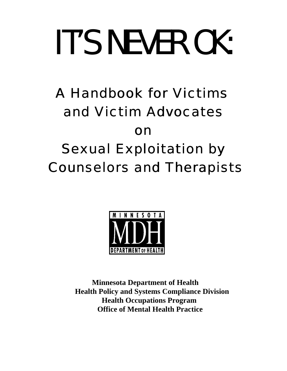# *IT'S NEVER OK:*

## A Handbook for Victims and Victim Advocates on Sexual Exploitation by Counselors and Therapists



 **Minnesota Department of Health Health Policy and Systems Compliance Division Health Occupations Program Office of Mental Health Practice**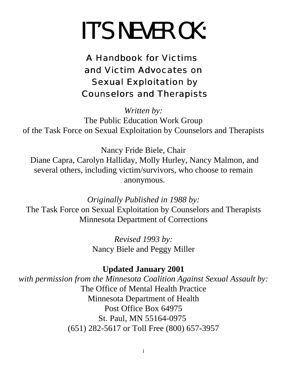## *IT'S NEVER OK:*

### A Handbook for Victims and Victim Advocates on Sexual Exploitation by Counselors and Therapists

*Written by:* The Public Education Work Group of the Task Force on Sexual Exploitation by Counselors and Therapists

Nancy Fride Biele, Chair Diane Capra, Carolyn Halliday, Molly Hurley, Nancy Malmon, and several others, including victim/survivors, who choose to remain anonymous.

*Originally Published in 1988 by:* The Task Force on Sexual Exploitation by Counselors and Therapists Minnesota Department of Corrections

> *Revised 1993 by:* Nancy Biele and Peggy Miller

#### **Updated January 2001**

*with permission from the Minnesota Coalition Against Sexual Assault by:* The Office of Mental Health Practice Minnesota Department of Health Post Office Box 64975 St. Paul, MN 55164-0975 (651) 282-5617 or Toll Free (800) 657-3957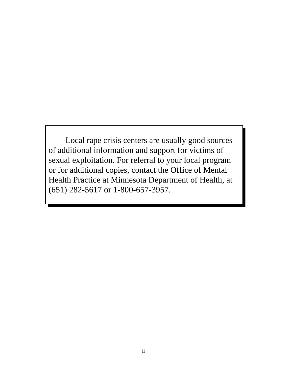Local rape crisis centers are usually good sources of additional information and support for victims of sexual exploitation. For referral to your local program or for additional copies, contact the Office of Mental Health Practice at Minnesota Department of Health, at (651) 282-5617 or 1-800-657-3957.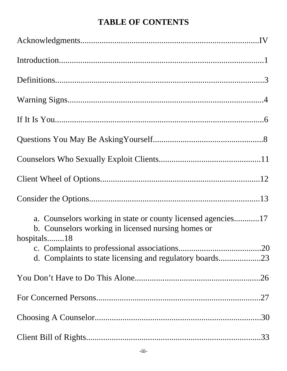#### **TABLE OF CONTENTS**

| a. Counselors working in state or county licensed agencies17<br>b. Counselors working in licensed nursing homes or<br>hospitals18 |
|-----------------------------------------------------------------------------------------------------------------------------------|
|                                                                                                                                   |
|                                                                                                                                   |
|                                                                                                                                   |
|                                                                                                                                   |
|                                                                                                                                   |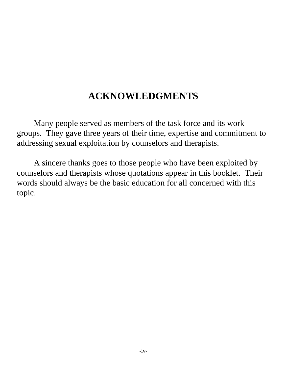#### **ACKNOWLEDGMENTS**

Many people served as members of the task force and its work groups. They gave three years of their time, expertise and commitment to addressing sexual exploitation by counselors and therapists.

A sincere thanks goes to those people who have been exploited by counselors and therapists whose quotations appear in this booklet. Their words should always be the basic education for all concerned with this topic.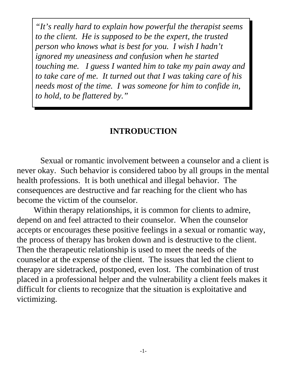*"It's really hard to explain how powerful the therapist seems to the client. He is supposed to be the expert, the trusted person who knows what is best for you. I wish I hadn't ignored my uneasiness and confusion when he started touching me. I guess I wanted him to take my pain away and to take care of me. It turned out that I was taking care of his needs most of the time. I was someone for him to confide in, to hold, to be flattered by."*

#### **INTRODUCTION**

 Sexual or romantic involvement between a counselor and a client is never okay. Such behavior is considered taboo by all groups in the mental health professions. It is both unethical and illegal behavior. The consequences are destructive and far reaching for the client who has become the victim of the counselor.

Within therapy relationships, it is common for clients to admire, depend on and feel attracted to their counselor. When the counselor accepts or encourages these positive feelings in a sexual or romantic way, the process of therapy has broken down and is destructive to the client. Then the therapeutic relationship is used to meet the needs of the counselor at the expense of the client. The issues that led the client to therapy are sidetracked, postponed, even lost. The combination of trust placed in a professional helper and the vulnerability a client feels makes it difficult for clients to recognize that the situation is exploitative and victimizing.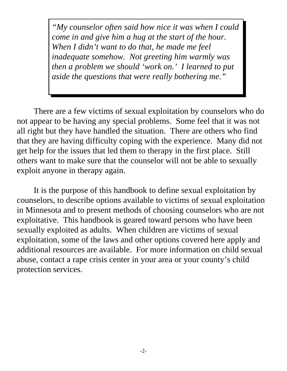*"My counselor often said how nice it was when I could come in and give him a hug at the start of the hour. When I didn't want to do that, he made me feel inadequate somehow. Not greeting him warmly was then a problem we should 'work on.' I learned to put aside the questions that were really bothering me."*

There are a few victims of sexual exploitation by counselors who do not appear to be having any special problems. Some feel that it was not all right but they have handled the situation. There are others who find that they are having difficulty coping with the experience. Many did not get help for the issues that led them to therapy in the first place. Still others want to make sure that the counselor will not be able to sexually exploit anyone in therapy again.

It is the purpose of this handbook to define sexual exploitation by counselors, to describe options available to victims of sexual exploitation in Minnesota and to present methods of choosing counselors who are not exploitative. This handbook is geared toward persons who have been sexually exploited as adults. When children are victims of sexual exploitation, some of the laws and other options covered here apply and additional resources are available. For more information on child sexual abuse, contact a rape crisis center in your area or your county's child protection services.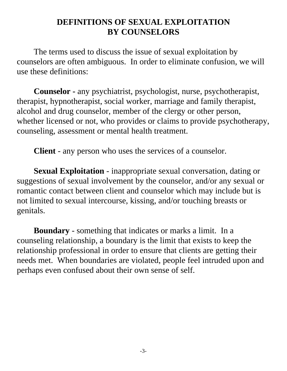#### **DEFINITIONS OF SEXUAL EXPLOITATION BY COUNSELORS**

The terms used to discuss the issue of sexual exploitation by counselors are often ambiguous. In order to eliminate confusion, we will use these definitions:

**Counselor -** any psychiatrist, psychologist, nurse, psychotherapist, therapist, hypnotherapist, social worker, marriage and family therapist, alcohol and drug counselor, member of the clergy or other person, whether licensed or not, who provides or claims to provide psychotherapy, counseling, assessment or mental health treatment.

**Client** - any person who uses the services of a counselor.

**Sexual Exploitation** - inappropriate sexual conversation, dating or suggestions of sexual involvement by the counselor, and/or any sexual or romantic contact between client and counselor which may include but is not limited to sexual intercourse, kissing, and/or touching breasts or genitals.

**Boundary** - something that indicates or marks a limit. In a counseling relationship, a boundary is the limit that exists to keep the relationship professional in order to ensure that clients are getting their needs met. When boundaries are violated, people feel intruded upon and perhaps even confused about their own sense of self.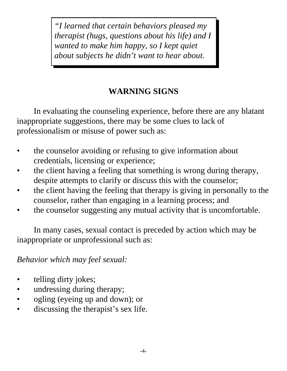*"I learned that certain behaviors pleased my therapist (hugs, questions about his life) and I wanted to make him happy, so I kept quiet about subjects he didn't want to hear about.*

#### **WARNING SIGNS**

In evaluating the counseling experience, before there are any blatant inappropriate suggestions, there may be some clues to lack of professionalism or misuse of power such as:

- the counselor avoiding or refusing to give information about credentials, licensing or experience;
- the client having a feeling that something is wrong during therapy, despite attempts to clarify or discuss this with the counselor;
- the client having the feeling that therapy is giving in personally to the counselor, rather than engaging in a learning process; and
- the counselor suggesting any mutual activity that is uncomfortable.

In many cases, sexual contact is preceded by action which may be inappropriate or unprofessional such as:

*Behavior which may feel sexual:*

- *•* telling dirty jokes;
- undressing during therapy;
- ogling (eyeing up and down); or
- discussing the therapist's sex life.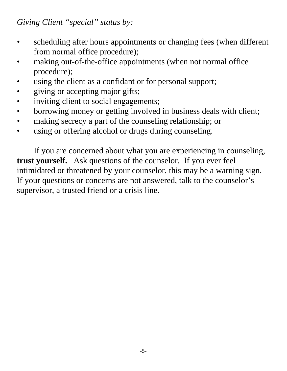*Giving Client "special" status by:*

- *•* scheduling after hours appointments or changing fees (when different from normal office procedure);
- making out-of-the-office appointments (when not normal office procedure);
- using the client as a confidant or for personal support;
- giving or accepting major gifts;
- inviting client to social engagements;
- borrowing money or getting involved in business deals with client;
- *•* making secrecy a part of the counseling relationship; or
- using or offering alcohol or drugs during counseling.

If you are concerned about what you are experiencing in counseling, **trust yourself.**Ask questions of the counselor. If you ever feel intimidated or threatened by your counselor, this may be a warning sign. If your questions or concerns are not answered, talk to the counselor's supervisor, a trusted friend or a crisis line.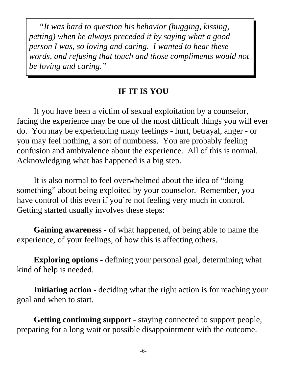*"It was hard to question his behavior (hugging, kissing, petting) when he always preceded it by saying what a good person I was, so loving and caring. I wanted to hear these words, and refusing that touch and those compliments would not be loving and caring."*

#### **IF IT IS YOU**

If you have been a victim of sexual exploitation by a counselor, facing the experience may be one of the most difficult things you will ever do. You may be experiencing many feelings - hurt, betrayal, anger - or you may feel nothing, a sort of numbness. You are probably feeling confusion and ambivalence about the experience. All of this is normal. Acknowledging what has happened is a big step.

It is also normal to feel overwhelmed about the idea of "doing something" about being exploited by your counselor. Remember, you have control of this even if you're not feeling very much in control. Getting started usually involves these steps:

**Gaining awareness** - of what happened, of being able to name the experience, of your feelings, of how this is affecting others.

**Exploring options** - defining your personal goal, determining what kind of help is needed.

**Initiating action** - deciding what the right action is for reaching your goal and when to start.

**Getting continuing support** - staying connected to support people, preparing for a long wait or possible disappointment with the outcome.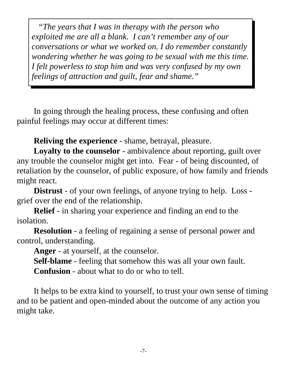*"The years that I was in therapy with the person who exploited me are all a blank. I can't remember any of our conversations or what we worked on. I do remember constantly wondering whether he was going to be sexual with me this time. I felt powerless to stop him and was very confused by my own feelings of attraction and guilt, fear and shame."*

In going through the healing process, these confusing and often painful feelings may occur at different times:

**Reliving the experience** - shame, betrayal, pleasure.

**Loyalty to the counselor** - ambivalence about reporting, guilt over any trouble the counselor might get into. Fear - of being discounted, of retaliation by the counselor, of public exposure, of how family and friends might react.

**Distrust** - of your own feelings, of anyone trying to help. Loss grief over the end of the relationship.

**Relief** - in sharing your experience and finding an end to the isolation.

**Resolution** - a feeling of regaining a sense of personal power and control, understanding.

**Anger** - at yourself, at the counselor.

**Self-blame** - feeling that somehow this was all your own fault.

**Confusion** - about what to do or who to tell.

It helps to be extra kind to yourself, to trust your own sense of timing and to be patient and open-minded about the outcome of any action you might take.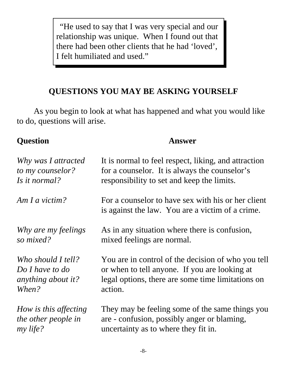"He used to say that I was very special and our relationship was unique. When I found out that there had been other clients that he had 'loved', I felt humiliated and used."

#### **QUESTIONS YOU MAY BE ASKING YOURSELF**

As you begin to look at what has happened and what you would like to do, questions will arise.

#### **Question Answer**

| Why was I attracted   | It is normal to feel respect, liking, and attraction                                                   |
|-----------------------|--------------------------------------------------------------------------------------------------------|
| to my counselor?      | for a counselor. It is always the counselor's                                                          |
| Is it normal?         | responsibility to set and keep the limits.                                                             |
| Am I a victim?        | For a counselor to have sex with his or her client<br>is against the law. You are a victim of a crime. |
| Why are my feelings   | As in any situation where there is confusion,                                                          |
| so mixed?             | mixed feelings are normal.                                                                             |
| Who should I tell?    | You are in control of the decision of who you tell                                                     |
| Do I have to do       | or when to tell anyone. If you are looking at                                                          |
| anything about it?    | legal options, there are some time limitations on                                                      |
| When?                 | action.                                                                                                |
| How is this affecting | They may be feeling some of the same things you                                                        |
| the other people in   | are - confusion, possibly anger or blaming,                                                            |
| my life?              | uncertainty as to where they fit in.                                                                   |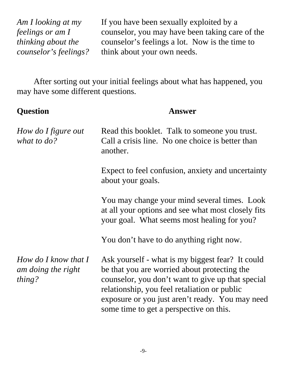*Am I looking at my* If you have been sexually exploited by a *feelings or am I* counselor, you may have been taking care of the *thinking about the* counselor's feelings a lot. Now is the time to *counselor's feelings?* think about your own needs.

After sorting out your initial feelings about what has happened, you may have some different questions.

| <b>Question</b>                                        | <b>Answer</b>                                                                                                                                                                                                                                                                                       |  |  |  |  |  |
|--------------------------------------------------------|-----------------------------------------------------------------------------------------------------------------------------------------------------------------------------------------------------------------------------------------------------------------------------------------------------|--|--|--|--|--|
| How do I figure out<br>what to do?                     | Read this booklet. Talk to some one you trust.<br>Call a crisis line. No one choice is better than<br>another.                                                                                                                                                                                      |  |  |  |  |  |
|                                                        | Expect to feel confusion, anxiety and uncertainty<br>about your goals.                                                                                                                                                                                                                              |  |  |  |  |  |
|                                                        | You may change your mind several times. Look<br>at all your options and see what most closely fits<br>your goal. What seems most healing for you?                                                                                                                                                   |  |  |  |  |  |
|                                                        | You don't have to do anything right now.                                                                                                                                                                                                                                                            |  |  |  |  |  |
| How do I know that $I$<br>am doing the right<br>thing? | Ask yourself - what is my biggest fear? It could<br>be that you are worried about protecting the<br>counselor, you don't want to give up that special<br>relationship, you feel retaliation or public<br>exposure or you just aren't ready. You may need<br>some time to get a perspective on this. |  |  |  |  |  |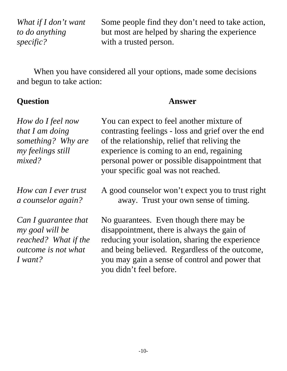*What if I don't want* Some people find they don't need to take action, *to do anything* but most are helped by sharing the experience *specific?* with a trusted person.

When you have considered all your options, made some decisions and begun to take action:

#### **Question Answer**

| How do I feel now<br>that I am doing<br>something? Why are<br>my feelings still<br>mixed?                | You can expect to feel another mixture of<br>contrasting feelings - loss and grief over the end<br>of the relationship, relief that reliving the<br>experience is coming to an end, regaining<br>personal power or possible disappointment that<br>your specific goal was not reached. |  |  |  |  |  |
|----------------------------------------------------------------------------------------------------------|----------------------------------------------------------------------------------------------------------------------------------------------------------------------------------------------------------------------------------------------------------------------------------------|--|--|--|--|--|
| How can I ever trust<br><i>a counselor again?</i>                                                        | A good counselor won't expect you to trust right<br>away. Trust your own sense of timing.                                                                                                                                                                                              |  |  |  |  |  |
| Can I guarantee that<br>my goal will be<br>reached? What if the<br><i>outcome is not what</i><br>I want? | No guarantees. Even though there may be<br>disappointment, there is always the gain of<br>reducing your isolation, sharing the experience<br>and being believed. Regardless of the outcome,<br>you may gain a sense of control and power that<br>you didn't feel before.               |  |  |  |  |  |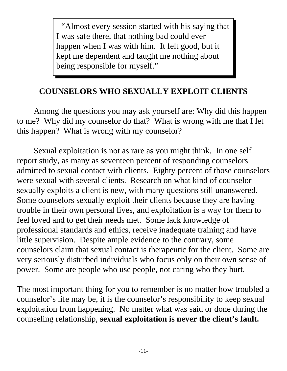"Almost every session started with his saying that I was safe there, that nothing bad could ever happen when I was with him. It felt good, but it kept me dependent and taught me nothing about being responsible for myself."

#### **COUNSELORS WHO SEXUALLY EXPLOIT CLIENTS**

Among the questions you may ask yourself are: Why did this happen to me? Why did my counselor do that? What is wrong with me that I let this happen? What is wrong with my counselor?

Sexual exploitation is not as rare as you might think. In one self report study, as many as seventeen percent of responding counselors admitted to sexual contact with clients. Eighty percent of those counselors were sexual with several clients. Research on what kind of counselor sexually exploits a client is new, with many questions still unanswered. Some counselors sexually exploit their clients because they are having trouble in their own personal lives, and exploitation is a way for them to feel loved and to get their needs met. Some lack knowledge of professional standards and ethics, receive inadequate training and have little supervision. Despite ample evidence to the contrary, some counselors claim that sexual contact is therapeutic for the client. Some are very seriously disturbed individuals who focus only on their own sense of power. Some are people who use people, not caring who they hurt.

The most important thing for you to remember is no matter how troubled a counselor's life may be, it is the counselor's responsibility to keep sexual exploitation from happening. No matter what was said or done during the counseling relationship, **sexual exploitation is never the client's fault.**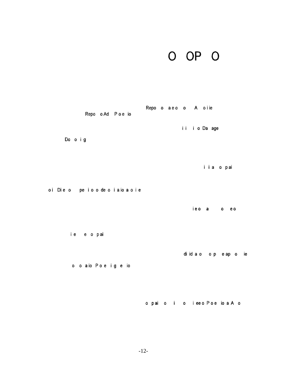### o **OP** o

|                            |                    | Repo oAd Poe io | Repo o a e o o A o i ie |  |  |               |                         |  |
|----------------------------|--------------------|-----------------|-------------------------|--|--|---------------|-------------------------|--|
| Do o i g                   |                    |                 |                         |  |  | ii i o Da age |                         |  |
|                            |                    |                 |                         |  |  |               | iia o pai               |  |
| oi Die o peioodeoiaioa oie |                    |                 |                         |  |  | ieo a         | $0$ $0$                 |  |
|                            | ie e o pai         |                 |                         |  |  |               |                         |  |
|                            | o o aio Poe i geio |                 |                         |  |  |               | di id a o o p e ap o ie |  |
|                            |                    |                 |                         |  |  |               |                         |  |

o pai 0 o i ee <sup>0</sup> Poe io a A <sup>0</sup>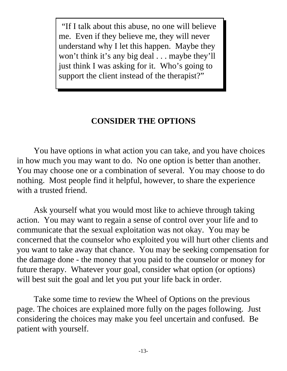"If I talk about this abuse, no one will believe me. Even if they believe me, they will never understand why I let this happen. Maybe they won't think it's any big deal . . . maybe they'll just think I was asking for it. Who's going to support the client instead of the therapist?"

#### **CONSIDER THE OPTIONS**

You have options in what action you can take, and you have choices in how much you may want to do. No one option is better than another. You may choose one or a combination of several. You may choose to do nothing. Most people find it helpful, however, to share the experience with a trusted friend.

Ask yourself what you would most like to achieve through taking action. You may want to regain a sense of control over your life and to communicate that the sexual exploitation was not okay. You may be concerned that the counselor who exploited you will hurt other clients and you want to take away that chance. You may be seeking compensation for the damage done - the money that you paid to the counselor or money for future therapy. Whatever your goal, consider what option (or options) will best suit the goal and let you put your life back in order.

Take some time to review the Wheel of Options on the previous page. The choices are explained more fully on the pages following. Just considering the choices may make you feel uncertain and confused. Be patient with yourself.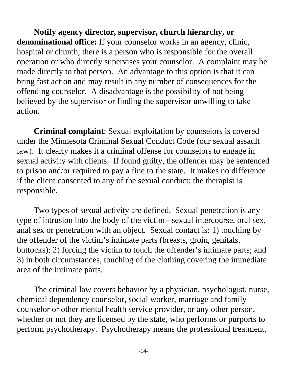**Notify agency director, supervisor, church hierarchy, or denominational office:** If your counselor works in an agency, clinic, hospital or church, there is a person who is responsible for the overall operation or who directly supervises your counselor. A complaint may be made directly to that person. An advantage to this option is that it can bring fast action and may result in any number of consequences for the offending counselor. A disadvantage is the possibility of not being believed by the supervisor or finding the supervisor unwilling to take action.

**Criminal complaint**: Sexual exploitation by counselors is covered under the Minnesota Criminal Sexual Conduct Code (our sexual assault law). It clearly makes it a criminal offense for counselors to engage in sexual activity with clients. If found guilty, the offender may be sentenced to prison and/or required to pay a fine to the state. It makes no difference if the client consented to any of the sexual conduct; the therapist is responsible.

Two types of sexual activity are defined. Sexual penetration is any type of intrusion into the body of the victim - sexual intercourse, oral sex, anal sex or penetration with an object. Sexual contact is: 1) touching by the offender of the victim's intimate parts (breasts, groin, genitals, buttocks); 2) forcing the victim to touch the offender's intimate parts; and 3) in both circumstances, touching of the clothing covering the immediate area of the intimate parts.

The criminal law covers behavior by a physician, psychologist, nurse, chemical dependency counselor, social worker, marriage and family counselor or other mental health service provider, or any other person, whether or not they are licensed by the state, who performs or purports to perform psychotherapy. Psychotherapy means the professional treatment,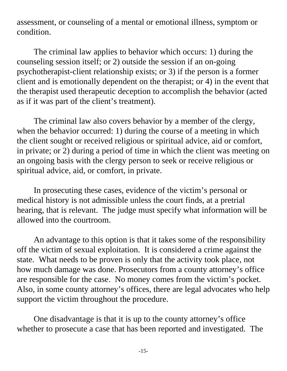assessment, or counseling of a mental or emotional illness, symptom or condition.

The criminal law applies to behavior which occurs: 1) during the counseling session itself; or 2) outside the session if an on-going psychotherapist-client relationship exists; or 3) if the person is a former client and is emotionally dependent on the therapist; or 4) in the event that the therapist used therapeutic deception to accomplish the behavior (acted as if it was part of the client's treatment).

The criminal law also covers behavior by a member of the clergy, when the behavior occurred: 1) during the course of a meeting in which the client sought or received religious or spiritual advice, aid or comfort, in private; or 2) during a period of time in which the client was meeting on an ongoing basis with the clergy person to seek or receive religious or spiritual advice, aid, or comfort, in private.

In prosecuting these cases, evidence of the victim's personal or medical history is not admissible unless the court finds, at a pretrial hearing, that is relevant. The judge must specify what information will be allowed into the courtroom.

An advantage to this option is that it takes some of the responsibility off the victim of sexual exploitation. It is considered a crime against the state. What needs to be proven is only that the activity took place, not how much damage was done. Prosecutors from a county attorney's office are responsible for the case. No money comes from the victim's pocket. Also, in some county attorney's offices, there are legal advocates who help support the victim throughout the procedure.

One disadvantage is that it is up to the county attorney's office whether to prosecute a case that has been reported and investigated. The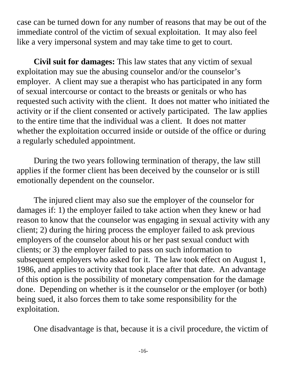case can be turned down for any number of reasons that may be out of the immediate control of the victim of sexual exploitation. It may also feel like a very impersonal system and may take time to get to court.

**Civil suit for damages:** This law states that any victim of sexual exploitation may sue the abusing counselor and/or the counselor's employer. A client may sue a therapist who has participated in any form of sexual intercourse or contact to the breasts or genitals or who has requested such activity with the client. It does not matter who initiated the activity or if the client consented or actively participated. The law applies to the entire time that the individual was a client. It does not matter whether the exploitation occurred inside or outside of the office or during a regularly scheduled appointment.

During the two years following termination of therapy, the law still applies if the former client has been deceived by the counselor or is still emotionally dependent on the counselor.

The injured client may also sue the employer of the counselor for damages if: 1) the employer failed to take action when they knew or had reason to know that the counselor was engaging in sexual activity with any client; 2) during the hiring process the employer failed to ask previous employers of the counselor about his or her past sexual conduct with clients; or 3) the employer failed to pass on such information to subsequent employers who asked for it. The law took effect on August 1, 1986, and applies to activity that took place after that date. An advantage of this option is the possibility of monetary compensation for the damage done. Depending on whether is it the counselor or the employer (or both) being sued, it also forces them to take some responsibility for the exploitation.

One disadvantage is that, because it is a civil procedure, the victim of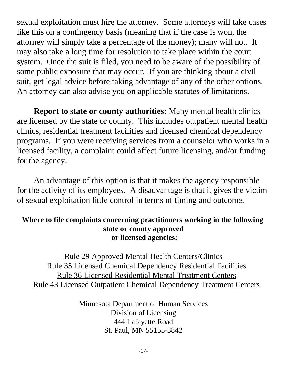sexual exploitation must hire the attorney. Some attorneys will take cases like this on a contingency basis (meaning that if the case is won, the attorney will simply take a percentage of the money); many will not. It may also take a long time for resolution to take place within the court system. Once the suit is filed, you need to be aware of the possibility of some public exposure that may occur. If you are thinking about a civil suit, get legal advice before taking advantage of any of the other options. An attorney can also advise you on applicable statutes of limitations.

**Report to state or county authorities:** Many mental health clinics are licensed by the state or county. This includes outpatient mental health clinics, residential treatment facilities and licensed chemical dependency programs. If you were receiving services from a counselor who works in a licensed facility, a complaint could affect future licensing, and/or funding for the agency.

An advantage of this option is that it makes the agency responsible for the activity of its employees. A disadvantage is that it gives the victim of sexual exploitation little control in terms of timing and outcome.

#### **Where to file complaints concerning practitioners working in the following state or county approved or licensed agencies:**

Rule 29 Approved Mental Health Centers/Clinics Rule 35 Licensed Chemical Dependency Residential Facilities Rule 36 Licensed Residential Mental Treatment Centers Rule 43 Licensed Outpatient Chemical Dependency Treatment Centers

> Minnesota Department of Human Services Division of Licensing 444 Lafayette Road St. Paul, MN 55155-3842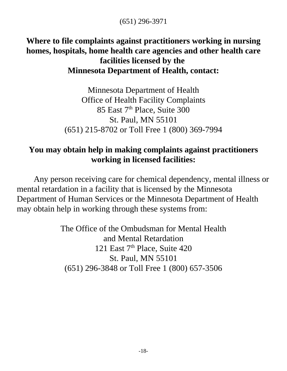(651) 296-3971

#### **Where to file complaints against practitioners working in nursing homes, hospitals, home health care agencies and other health care facilities licensed by the Minnesota Department of Health, contact:**

Minnesota Department of Health Office of Health Facility Complaints 85 East 7<sup>th</sup> Place, Suite 300 St. Paul, MN 55101 (651) 215-8702 or Toll Free 1 (800) 369-7994

#### **You may obtain help in making complaints against practitioners working in licensed facilities:**

Any person receiving care for chemical dependency, mental illness or mental retardation in a facility that is licensed by the Minnesota Department of Human Services or the Minnesota Department of Health may obtain help in working through these systems from:

> The Office of the Ombudsman for Mental Health and Mental Retardation 121 East 7<sup>th</sup> Place, Suite 420 St. Paul, MN 55101 (651) 296-3848 or Toll Free 1 (800) 657-3506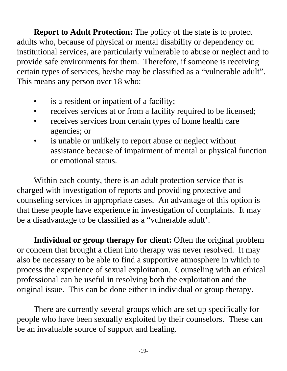**Report to Adult Protection:** The policy of the state is to protect adults who, because of physical or mental disability or dependency on institutional services, are particularly vulnerable to abuse or neglect and to provide safe environments for them. Therefore, if someone is receiving certain types of services, he/she may be classified as a "vulnerable adult". This means any person over 18 who:

- is a resident or inpatient of a facility;
- receives services at or from a facility required to be licensed;
- receives services from certain types of home health care agencies; or
- is unable or unlikely to report abuse or neglect without assistance because of impairment of mental or physical function or emotional status.

Within each county, there is an adult protection service that is charged with investigation of reports and providing protective and counseling services in appropriate cases. An advantage of this option is that these people have experience in investigation of complaints. It may be a disadvantage to be classified as a "vulnerable adult'.

**Individual or group therapy for client:** Often the original problem or concern that brought a client into therapy was never resolved. It may also be necessary to be able to find a supportive atmosphere in which to process the experience of sexual exploitation. Counseling with an ethical professional can be useful in resolving both the exploitation and the original issue. This can be done either in individual or group therapy.

There are currently several groups which are set up specifically for people who have been sexually exploited by their counselors. These can be an invaluable source of support and healing.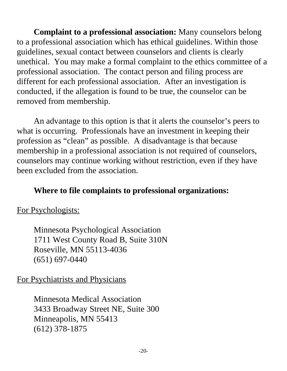**Complaint to a professional association:** Many counselors belong to a professional association which has ethical guidelines. Within those guidelines, sexual contact between counselors and clients is clearly unethical. You may make a formal complaint to the ethics committee of a professional association. The contact person and filing process are different for each professional association. After an investigation is conducted, if the allegation is found to be true, the counselor can be removed from membership.

An advantage to this option is that it alerts the counselor's peers to what is occurring. Professionals have an investment in keeping their profession as "clean" as possible. A disadvantage is that because membership in a professional association is not required of counselors, counselors may continue working without restriction, even if they have been excluded from the association.

#### **Where to file complaints to professional organizations:**

#### For Psychologists:

Minnesota Psychological Association 1711 West County Road B, Suite 310N Roseville, MN 55113-4036 (651) 697-0440

#### For Psychiatrists and Physicians

Minnesota Medical Association 3433 Broadway Street NE, Suite 300 Minneapolis, MN 55413 (612) 378-1875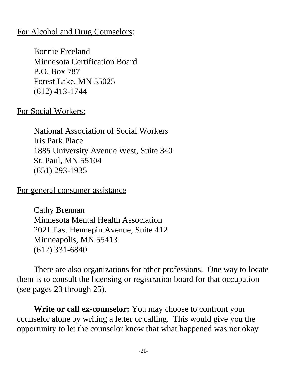#### For Alcohol and Drug Counselors:

Bonnie Freeland Minnesota Certification Board P.O. Box 787 Forest Lake, MN 55025 (612) 413-1744

For Social Workers:

National Association of Social Workers Iris Park Place 1885 University Avenue West, Suite 340 St. Paul, MN 55104 (651) 293-1935

For general consumer assistance

Cathy Brennan Minnesota Mental Health Association 2021 East Hennepin Avenue, Suite 412 Minneapolis, MN 55413 (612) 331-6840

There are also organizations for other professions. One way to locate them is to consult the licensing or registration board for that occupation (see pages 23 through 25).

**Write or call ex-counselor:** You may choose to confront your counselor alone by writing a letter or calling. This would give you the opportunity to let the counselor know that what happened was not okay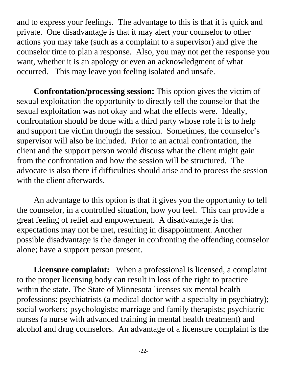and to express your feelings. The advantage to this is that it is quick and private. One disadvantage is that it may alert your counselor to other actions you may take (such as a complaint to a supervisor) and give the counselor time to plan a response. Also, you may not get the response you want, whether it is an apology or even an acknowledgment of what occurred. This may leave you feeling isolated and unsafe.

**Confrontation/processing session:** This option gives the victim of sexual exploitation the opportunity to directly tell the counselor that the sexual exploitation was not okay and what the effects were. Ideally, confrontation should be done with a third party whose role it is to help and support the victim through the session. Sometimes, the counselor's supervisor will also be included. Prior to an actual confrontation, the client and the support person would discuss what the client might gain from the confrontation and how the session will be structured. The advocate is also there if difficulties should arise and to process the session with the client afterwards.

An advantage to this option is that it gives you the opportunity to tell the counselor, in a controlled situation, how you feel. This can provide a great feeling of relief and empowerment. A disadvantage is that expectations may not be met, resulting in disappointment. Another possible disadvantage is the danger in confronting the offending counselor alone; have a support person present.

**Licensure complaint:** When a professional is licensed, a complaint to the proper licensing body can result in loss of the right to practice within the state. The State of Minnesota licenses six mental health professions: psychiatrists (a medical doctor with a specialty in psychiatry); social workers; psychologists; marriage and family therapists; psychiatric nurses (a nurse with advanced training in mental health treatment) and alcohol and drug counselors. An advantage of a licensure complaint is the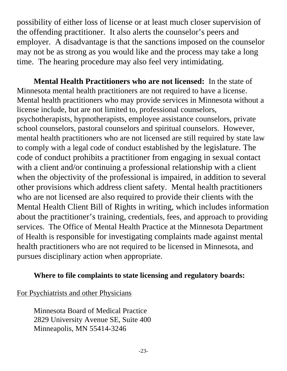possibility of either loss of license or at least much closer supervision of the offending practitioner. It also alerts the counselor's peers and employer. A disadvantage is that the sanctions imposed on the counselor may not be as strong as you would like and the process may take a long time. The hearing procedure may also feel very intimidating.

**Mental Health Practitioners who are not licensed:** In the state of Minnesota mental health practitioners are not required to have a license. Mental health practitioners who may provide services in Minnesota without a license include, but are not limited to, professional counselors, psychotherapists, hypnotherapists, employee assistance counselors, private school counselors, pastoral counselors and spiritual counselors. However, mental health practitioners who are not licensed are still required by state law to comply with a legal code of conduct established by the legislature. The code of conduct prohibits a practitioner from engaging in sexual contact with a client and/or continuing a professional relationship with a client when the objectivity of the professional is impaired, in addition to several other provisions which address client safety. Mental health practitioners who are not licensed are also required to provide their clients with the Mental Health Client Bill of Rights in writing, which includes information about the practitioner's training, credentials, fees, and approach to providing services. The Office of Mental Health Practice at the Minnesota Department of Health is responsible for investigating complaints made against mental health practitioners who are not required to be licensed in Minnesota, and pursues disciplinary action when appropriate.

#### **Where to file complaints to state licensing and regulatory boards:**

For Psychiatrists and other Physicians

Minnesota Board of Medical Practice 2829 University Avenue SE, Suite 400 Minneapolis, MN 55414-3246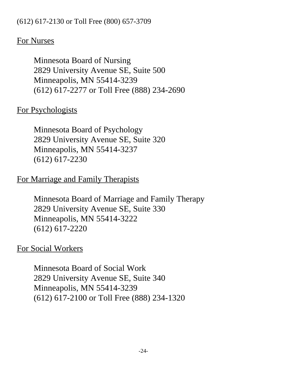#### (612) 617-2130 or Toll Free (800) 657-3709

#### For Nurses

Minnesota Board of Nursing 2829 University Avenue SE, Suite 500 Minneapolis, MN 55414-3239 (612) 617-2277 or Toll Free (888) 234-2690

#### For Psychologists

Minnesota Board of Psychology 2829 University Avenue SE, Suite 320 Minneapolis, MN 55414-3237 (612) 617-2230

#### For Marriage and Family Therapists

Minnesota Board of Marriage and Family Therapy 2829 University Avenue SE, Suite 330 Minneapolis, MN 55414-3222 (612) 617-2220

#### For Social Workers

Minnesota Board of Social Work 2829 University Avenue SE, Suite 340 Minneapolis, MN 55414-3239 (612) 617-2100 or Toll Free (888) 234-1320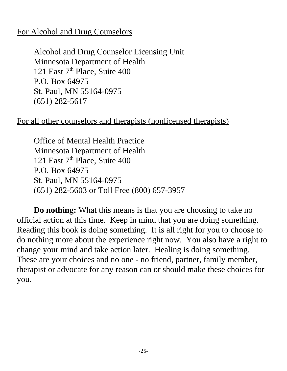#### For Alcohol and Drug Counselors

Alcohol and Drug Counselor Licensing Unit Minnesota Department of Health 121 East 7<sup>th</sup> Place, Suite 400 P.O. Box 64975 St. Paul, MN 55164-0975 (651) 282-5617

#### For all other counselors and therapists (nonlicensed therapists)

Office of Mental Health Practice Minnesota Department of Health 121 East 7<sup>th</sup> Place, Suite 400 P.O. Box 64975 St. Paul, MN 55164-0975 (651) 282-5603 or Toll Free (800) 657-3957

**Do nothing:** What this means is that you are choosing to take no official action at this time. Keep in mind that you are doing something. Reading this book is doing something. It is all right for you to choose to do nothing more about the experience right now. You also have a right to change your mind and take action later. Healing is doing something. These are your choices and no one - no friend, partner, family member, therapist or advocate for any reason can or should make these choices for you.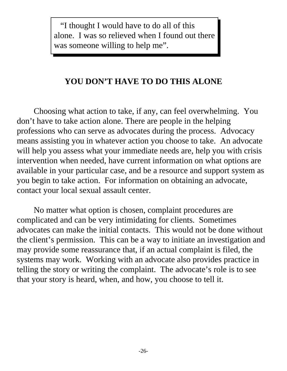"I thought I would have to do all of this alone. I was so relieved when I found out there was someone willing to help me".

#### **YOU DON'T HAVE TO DO THIS ALONE**

Choosing what action to take, if any, can feel overwhelming. You don't have to take action alone. There are people in the helping professions who can serve as advocates during the process. Advocacy means assisting you in whatever action you choose to take. An advocate will help you assess what your immediate needs are, help you with crisis intervention when needed, have current information on what options are available in your particular case, and be a resource and support system as you begin to take action. For information on obtaining an advocate, contact your local sexual assault center.

No matter what option is chosen, complaint procedures are complicated and can be very intimidating for clients. Sometimes advocates can make the initial contacts. This would not be done without the client's permission. This can be a way to initiate an investigation and may provide some reassurance that, if an actual complaint is filed, the systems may work. Working with an advocate also provides practice in telling the story or writing the complaint. The advocate's role is to see that your story is heard, when, and how, you choose to tell it.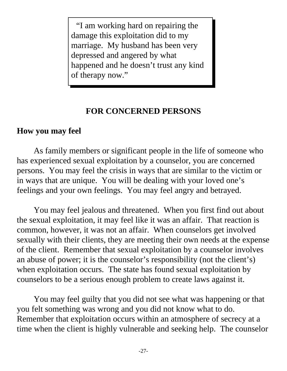"I am working hard on repairing the damage this exploitation did to my marriage. My husband has been very depressed and angered by what happened and he doesn't trust any kind of therapy now."

#### **FOR CONCERNED PERSONS**

#### **How you may feel**

As family members or significant people in the life of someone who has experienced sexual exploitation by a counselor, you are concerned persons. You may feel the crisis in ways that are similar to the victim or in ways that are unique. You will be dealing with your loved one's feelings and your own feelings. You may feel angry and betrayed.

You may feel jealous and threatened. When you first find out about the sexual exploitation, it may feel like it was an affair. That reaction is common, however, it was not an affair. When counselors get involved sexually with their clients, they are meeting their own needs at the expense of the client. Remember that sexual exploitation by a counselor involves an abuse of power; it is the counselor's responsibility (not the client's) when exploitation occurs. The state has found sexual exploitation by counselors to be a serious enough problem to create laws against it.

You may feel guilty that you did not see what was happening or that you felt something was wrong and you did not know what to do. Remember that exploitation occurs within an atmosphere of secrecy at a time when the client is highly vulnerable and seeking help. The counselor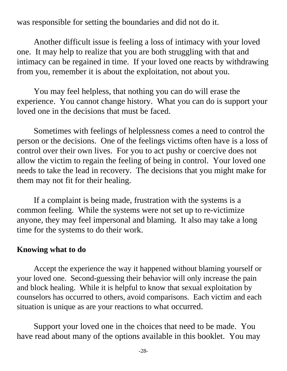was responsible for setting the boundaries and did not do it.

Another difficult issue is feeling a loss of intimacy with your loved one. It may help to realize that you are both struggling with that and intimacy can be regained in time. If your loved one reacts by withdrawing from you, remember it is about the exploitation, not about you.

You may feel helpless, that nothing you can do will erase the experience. You cannot change history. What you can do is support your loved one in the decisions that must be faced.

Sometimes with feelings of helplessness comes a need to control the person or the decisions. One of the feelings victims often have is a loss of control over their own lives. For you to act pushy or coercive does not allow the victim to regain the feeling of being in control. Your loved one needs to take the lead in recovery. The decisions that you might make for them may not fit for their healing.

If a complaint is being made, frustration with the systems is a common feeling. While the systems were not set up to re-victimize anyone, they may feel impersonal and blaming. It also may take a long time for the systems to do their work.

#### **Knowing what to do**

Accept the experience the way it happened without blaming yourself or your loved one. Second-guessing their behavior will only increase the pain and block healing. While it is helpful to know that sexual exploitation by counselors has occurred to others, avoid comparisons. Each victim and each situation is unique as are your reactions to what occurred.

Support your loved one in the choices that need to be made. You have read about many of the options available in this booklet. You may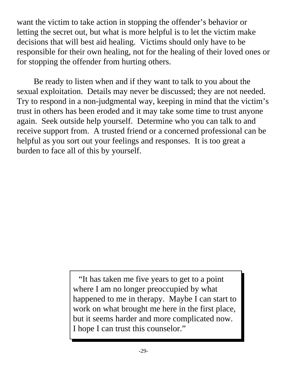want the victim to take action in stopping the offender's behavior or letting the secret out, but what is more helpful is to let the victim make decisions that will best aid healing. Victims should only have to be responsible for their own healing, not for the healing of their loved ones or for stopping the offender from hurting others.

Be ready to listen when and if they want to talk to you about the sexual exploitation. Details may never be discussed; they are not needed. Try to respond in a non-judgmental way, keeping in mind that the victim's trust in others has been eroded and it may take some time to trust anyone again. Seek outside help yourself. Determine who you can talk to and receive support from. A trusted friend or a concerned professional can be helpful as you sort out your feelings and responses. It is too great a burden to face all of this by yourself.

> "It has taken me five years to get to a point where I am no longer preoccupied by what happened to me in therapy. Maybe I can start to work on what brought me here in the first place, but it seems harder and more complicated now. I hope I can trust this counselor."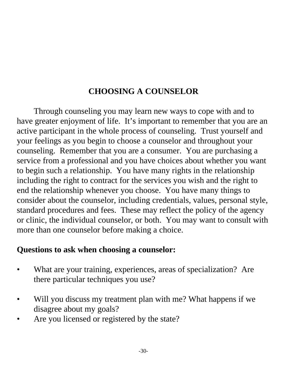#### **CHOOSING A COUNSELOR**

Through counseling you may learn new ways to cope with and to have greater enjoyment of life. It's important to remember that you are an active participant in the whole process of counseling. Trust yourself and your feelings as you begin to choose a counselor and throughout your counseling. Remember that you are a consumer. You are purchasing a service from a professional and you have choices about whether you want to begin such a relationship. You have many rights in the relationship including the right to contract for the services you wish and the right to end the relationship whenever you choose. You have many things to consider about the counselor, including credentials, values, personal style, standard procedures and fees. These may reflect the policy of the agency or clinic, the individual counselor, or both. You may want to consult with more than one counselor before making a choice.

#### **Questions to ask when choosing a counselor:**

- What are your training, experiences, areas of specialization? Are there particular techniques you use?
- Will you discuss my treatment plan with me? What happens if we disagree about my goals?
- Are you licensed or registered by the state?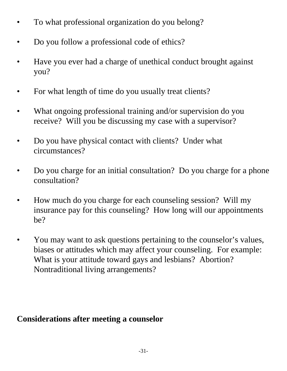- To what professional organization do you belong?
- Do you follow a professional code of ethics?
- Have you ever had a charge of unethical conduct brought against you?
- For what length of time do you usually treat clients?
- What ongoing professional training and/or supervision do you receive? Will you be discussing my case with a supervisor?
- Do you have physical contact with clients? Under what circumstances?
- Do you charge for an initial consultation? Do you charge for a phone consultation?
- How much do you charge for each counseling session? Will my insurance pay for this counseling? How long will our appointments be?
- You may want to ask questions pertaining to the counselor's values, biases or attitudes which may affect your counseling. For example: What is your attitude toward gays and lesbians? Abortion? Nontraditional living arrangements?

#### **Considerations after meeting a counselor**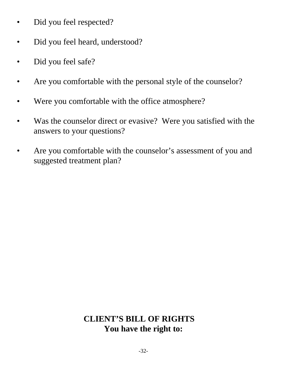- Did you feel respected?
- Did you feel heard, understood?
- Did you feel safe?
- Are you comfortable with the personal style of the counselor?
- Were you comfortable with the office atmosphere?
- Was the counselor direct or evasive? Were you satisfied with the answers to your questions?
- Are you comfortable with the counselor's assessment of you and suggested treatment plan?

#### **CLIENT'S BILL OF RIGHTS You have the right to:**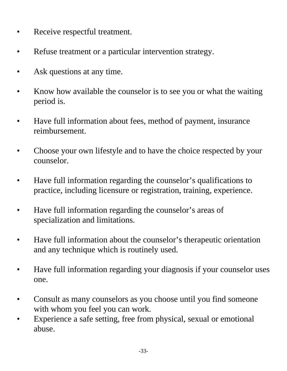- Receive respectful treatment.
- Refuse treatment or a particular intervention strategy.
- Ask questions at any time.
- Know how available the counselor is to see you or what the waiting period is.
- Have full information about fees, method of payment, insurance reimbursement.
- Choose your own lifestyle and to have the choice respected by your counselor.
- Have full information regarding the counselor's qualifications to practice, including licensure or registration, training, experience.
- Have full information regarding the counselor's areas of specialization and limitations.
- Have full information about the counselor's therapeutic orientation and any technique which is routinely used.
- Have full information regarding your diagnosis if your counselor uses one.
- Consult as many counselors as you choose until you find someone with whom you feel you can work.
- Experience a safe setting, free from physical, sexual or emotional abuse.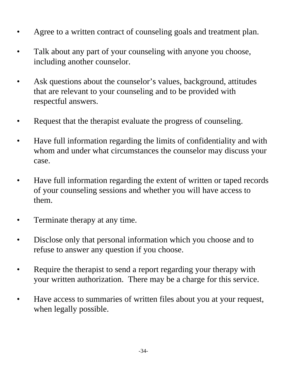- Agree to a written contract of counseling goals and treatment plan.
- Talk about any part of your counseling with anyone you choose, including another counselor.
- Ask questions about the counselor's values, background, attitudes that are relevant to your counseling and to be provided with respectful answers.
- Request that the therapist evaluate the progress of counseling.
- Have full information regarding the limits of confidentiality and with whom and under what circumstances the counselor may discuss your case.
- Have full information regarding the extent of written or taped records of your counseling sessions and whether you will have access to them.
- Terminate therapy at any time.
- Disclose only that personal information which you choose and to refuse to answer any question if you choose.
- Require the therapist to send a report regarding your therapy with your written authorization. There may be a charge for this service.
- Have access to summaries of written files about you at your request, when legally possible.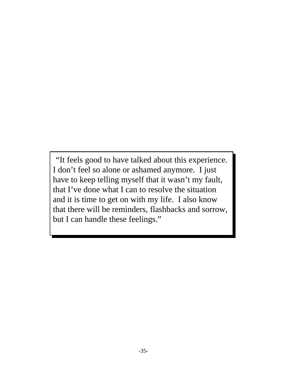"It feels good to have talked about this experience. I don't feel so alone or ashamed anymore. I just have to keep telling myself that it wasn't my fault, that I've done what I can to resolve the situation and it is time to get on with my life. I also know that there will be reminders, flashbacks and sorrow, but I can handle these feelings."